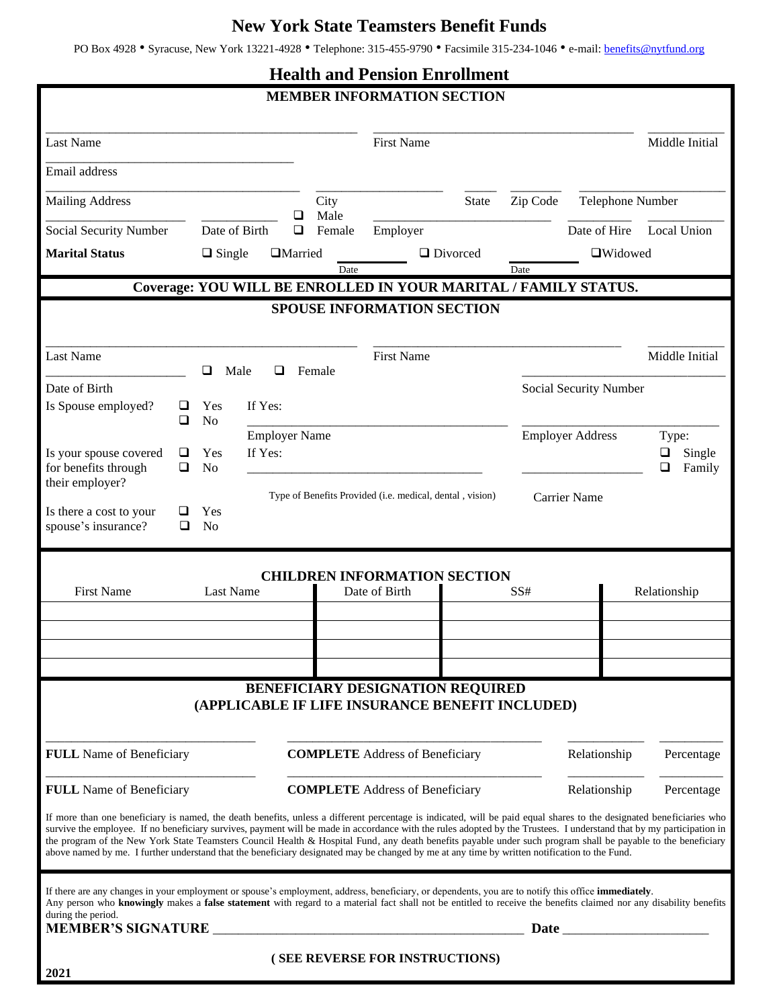## **New York State Teamsters Benefit Funds**

PO Box 4928 • Syracuse, New York 13221-4928 • Telephone: 315-455-9790 • Facsimile 315-234-1046 • e-mail: [benefits@nytfund.org](mailto:benefits@nytfund.org)

| <b>Health and Pension Enrollment</b>                                                                                                                                                                                                                                                                                                                                                                                                                                                                                                                                                                                                                            |        |                                   |                      |                                        |                                                                          |                                                                                     |                 |                        |                                                                                                                                                                                                                               |                            |
|-----------------------------------------------------------------------------------------------------------------------------------------------------------------------------------------------------------------------------------------------------------------------------------------------------------------------------------------------------------------------------------------------------------------------------------------------------------------------------------------------------------------------------------------------------------------------------------------------------------------------------------------------------------------|--------|-----------------------------------|----------------------|----------------------------------------|--------------------------------------------------------------------------|-------------------------------------------------------------------------------------|-----------------|------------------------|-------------------------------------------------------------------------------------------------------------------------------------------------------------------------------------------------------------------------------|----------------------------|
|                                                                                                                                                                                                                                                                                                                                                                                                                                                                                                                                                                                                                                                                 |        |                                   |                      |                                        |                                                                          | <b>MEMBER INFORMATION SECTION</b>                                                   |                 |                        |                                                                                                                                                                                                                               |                            |
| <b>Last Name</b>                                                                                                                                                                                                                                                                                                                                                                                                                                                                                                                                                                                                                                                |        |                                   |                      |                                        |                                                                          | <b>First Name</b>                                                                   |                 |                        |                                                                                                                                                                                                                               | Middle Initial             |
| Email address                                                                                                                                                                                                                                                                                                                                                                                                                                                                                                                                                                                                                                                   |        |                                   |                      |                                        |                                                                          |                                                                                     |                 |                        |                                                                                                                                                                                                                               |                            |
| <b>Mailing Address</b>                                                                                                                                                                                                                                                                                                                                                                                                                                                                                                                                                                                                                                          |        |                                   |                      |                                        | City                                                                     |                                                                                     | <b>State</b>    | Zip Code               | Telephone Number                                                                                                                                                                                                              |                            |
| Social Security Number                                                                                                                                                                                                                                                                                                                                                                                                                                                                                                                                                                                                                                          |        | ❏<br>Date of Birth<br>$\Box$      |                      | Male<br>Female                         | Employer                                                                 |                                                                                     |                 | Date of Hire           | Local Union                                                                                                                                                                                                                   |                            |
| <b>Marital Status</b>                                                                                                                                                                                                                                                                                                                                                                                                                                                                                                                                                                                                                                           |        | <b>I</b> Married<br>$\Box$ Single |                      |                                        |                                                                          |                                                                                     | $\Box$ Divorced |                        | $\Box$ Widowed                                                                                                                                                                                                                |                            |
|                                                                                                                                                                                                                                                                                                                                                                                                                                                                                                                                                                                                                                                                 |        |                                   |                      |                                        | Date                                                                     |                                                                                     |                 | Date                   |                                                                                                                                                                                                                               |                            |
| Coverage: YOU WILL BE ENROLLED IN YOUR MARITAL / FAMILY STATUS.<br><b>SPOUSE INFORMATION SECTION</b>                                                                                                                                                                                                                                                                                                                                                                                                                                                                                                                                                            |        |                                   |                      |                                        |                                                                          |                                                                                     |                 |                        |                                                                                                                                                                                                                               |                            |
|                                                                                                                                                                                                                                                                                                                                                                                                                                                                                                                                                                                                                                                                 |        |                                   |                      |                                        |                                                                          |                                                                                     |                 |                        |                                                                                                                                                                                                                               |                            |
| <b>Last Name</b>                                                                                                                                                                                                                                                                                                                                                                                                                                                                                                                                                                                                                                                |        | □<br>Male                         | ◻                    |                                        | Female                                                                   | <b>First Name</b>                                                                   |                 |                        |                                                                                                                                                                                                                               | Middle Initial             |
| Date of Birth                                                                                                                                                                                                                                                                                                                                                                                                                                                                                                                                                                                                                                                   |        |                                   |                      |                                        |                                                                          |                                                                                     |                 | Social Security Number |                                                                                                                                                                                                                               |                            |
| Is Spouse employed?                                                                                                                                                                                                                                                                                                                                                                                                                                                                                                                                                                                                                                             | ⊔<br>❏ | Yes<br>N <sub>o</sub>             | If Yes:              |                                        |                                                                          |                                                                                     |                 |                        |                                                                                                                                                                                                                               |                            |
|                                                                                                                                                                                                                                                                                                                                                                                                                                                                                                                                                                                                                                                                 |        |                                   | <b>Employer Name</b> |                                        | <b>Employer Address</b>                                                  |                                                                                     |                 |                        |                                                                                                                                                                                                                               | Type:                      |
| Is your spouse covered<br>for benefits through                                                                                                                                                                                                                                                                                                                                                                                                                                                                                                                                                                                                                  | ⊔<br>◻ | Yes<br>N <sub>o</sub>             | If Yes:              |                                        |                                                                          |                                                                                     |                 |                        |                                                                                                                                                                                                                               | ❏<br>Single<br>Family<br>❏ |
| their employer?                                                                                                                                                                                                                                                                                                                                                                                                                                                                                                                                                                                                                                                 |        |                                   |                      |                                        | Type of Benefits Provided (i.e. medical, dental, vision)<br>Carrier Name |                                                                                     |                 |                        |                                                                                                                                                                                                                               |                            |
| Is there a cost to your<br>spouse's insurance?                                                                                                                                                                                                                                                                                                                                                                                                                                                                                                                                                                                                                  | ◻      | Yes<br>N <sub>o</sub>             |                      |                                        |                                                                          |                                                                                     |                 |                        |                                                                                                                                                                                                                               |                            |
|                                                                                                                                                                                                                                                                                                                                                                                                                                                                                                                                                                                                                                                                 |        |                                   |                      |                                        |                                                                          |                                                                                     |                 |                        |                                                                                                                                                                                                                               |                            |
| <b>CHILDREN INFORMATION SECTION</b>                                                                                                                                                                                                                                                                                                                                                                                                                                                                                                                                                                                                                             |        |                                   |                      |                                        |                                                                          |                                                                                     |                 |                        |                                                                                                                                                                                                                               |                            |
| <b>First Name</b><br><b>Last Name</b>                                                                                                                                                                                                                                                                                                                                                                                                                                                                                                                                                                                                                           |        |                                   |                      |                                        | Date of Birth                                                            |                                                                                     |                 | SS#                    |                                                                                                                                                                                                                               | Relationship               |
|                                                                                                                                                                                                                                                                                                                                                                                                                                                                                                                                                                                                                                                                 |        |                                   |                      |                                        |                                                                          |                                                                                     |                 |                        |                                                                                                                                                                                                                               |                            |
|                                                                                                                                                                                                                                                                                                                                                                                                                                                                                                                                                                                                                                                                 |        |                                   |                      |                                        |                                                                          |                                                                                     |                 |                        |                                                                                                                                                                                                                               |                            |
|                                                                                                                                                                                                                                                                                                                                                                                                                                                                                                                                                                                                                                                                 |        |                                   |                      |                                        |                                                                          |                                                                                     |                 |                        |                                                                                                                                                                                                                               |                            |
|                                                                                                                                                                                                                                                                                                                                                                                                                                                                                                                                                                                                                                                                 |        |                                   |                      |                                        |                                                                          | BENEFICIARY DESIGNATION REQUIRED<br>(APPLICABLE IF LIFE INSURANCE BENEFIT INCLUDED) |                 |                        |                                                                                                                                                                                                                               |                            |
|                                                                                                                                                                                                                                                                                                                                                                                                                                                                                                                                                                                                                                                                 |        |                                   |                      |                                        |                                                                          |                                                                                     |                 |                        |                                                                                                                                                                                                                               |                            |
| <b>FULL</b> Name of Beneficiary                                                                                                                                                                                                                                                                                                                                                                                                                                                                                                                                                                                                                                 |        |                                   |                      | <b>COMPLETE</b> Address of Beneficiary |                                                                          |                                                                                     |                 |                        | Relationship                                                                                                                                                                                                                  | Percentage                 |
| <b>FULL</b> Name of Beneficiary                                                                                                                                                                                                                                                                                                                                                                                                                                                                                                                                                                                                                                 |        |                                   |                      |                                        | <b>COMPLETE</b> Address of Beneficiary                                   |                                                                                     |                 |                        | Relationship                                                                                                                                                                                                                  | Percentage                 |
| If more than one beneficiary is named, the death benefits, unless a different percentage is indicated, will be paid equal shares to the designated beneficiaries who<br>survive the employee. If no beneficiary survives, payment will be made in accordance with the rules adopted by the Trustees. I understand that by my participation in<br>the program of the New York State Teamsters Council Health & Hospital Fund, any death benefits payable under such program shall be payable to the beneficiary<br>above named by me. I further understand that the beneficiary designated may be changed by me at any time by written notification to the Fund. |        |                                   |                      |                                        |                                                                          |                                                                                     |                 |                        |                                                                                                                                                                                                                               |                            |
| If there are any changes in your employment or spouse's employment, address, beneficiary, or dependents, you are to notify this office immediately.<br>Any person who knowingly makes a false statement with regard to a material fact shall not be entitled to receive the benefits claimed nor any disability benefits<br>during the period.                                                                                                                                                                                                                                                                                                                  |        |                                   |                      |                                        |                                                                          |                                                                                     |                 |                        |                                                                                                                                                                                                                               |                            |
| <b>MEMBER'S SIGNATURE _</b>                                                                                                                                                                                                                                                                                                                                                                                                                                                                                                                                                                                                                                     |        |                                   |                      |                                        |                                                                          |                                                                                     |                 |                        | Date and the same state of the same state of the same state of the same state of the same state of the same state of the same state of the same state of the same state of the same state of the same state of the same state |                            |
| 2021                                                                                                                                                                                                                                                                                                                                                                                                                                                                                                                                                                                                                                                            |        |                                   |                      |                                        |                                                                          | (SEE REVERSE FOR INSTRUCTIONS)                                                      |                 |                        |                                                                                                                                                                                                                               |                            |
|                                                                                                                                                                                                                                                                                                                                                                                                                                                                                                                                                                                                                                                                 |        |                                   |                      |                                        |                                                                          |                                                                                     |                 |                        |                                                                                                                                                                                                                               |                            |